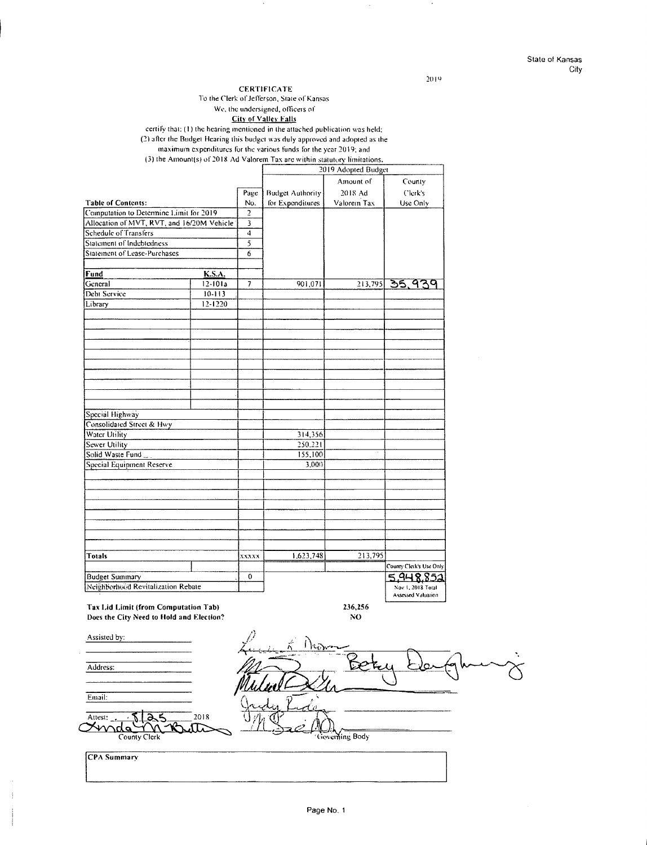$2019$ 

### **CERTIFICATE**

To the Clerk of Jefferson, State of Kansas

#### We, the undersigned, officers of City of Valley Falls

certify that: (1) the hearing mentioned in the attached publication was held;

(2) atler !he Budge! Hearing 1his budge! was duly approved and adopled as 1he

### maximum expenditures for the various funds for the year 2019; and

(3) the Amount(s) of  $2018$  Ad Valorem Tax arc within statulory limitations.

|                                            |               |                         | 2019 Adopted Budget     |             |                         |  |
|--------------------------------------------|---------------|-------------------------|-------------------------|-------------|-------------------------|--|
|                                            |               |                         |                         | Amount of   | County                  |  |
|                                            |               | Page                    | <b>Budget Authority</b> | 2018 Ad     | Clerk's                 |  |
| <b>Table of Contents:</b>                  |               | No.                     | for Expenditures        | Valorem Tax | Use Only                |  |
| Computation to Determine Limit for 2019    |               |                         |                         |             |                         |  |
| Allocation of MVT, RVT, and 16/20M Vehicle |               | $\overline{\mathbf{3}}$ |                         |             |                         |  |
| Schedule of Transfers                      |               | 4                       |                         |             |                         |  |
| Statement of Indebtedness                  |               | $\overline{5}$          |                         |             |                         |  |
| Statement of Lease-Purchases               |               | 6                       |                         |             |                         |  |
|                                            |               |                         |                         |             |                         |  |
| Fund                                       | <b>K.S.A.</b> |                         |                         |             |                         |  |
| General                                    | $12 - 101a$   | 7                       | 901,071                 | 213,795     | 35,939                  |  |
| Debt Service                               | $10 - 113$    |                         |                         |             |                         |  |
| Library                                    | $12 - 1220$   |                         |                         |             |                         |  |
|                                            |               |                         |                         |             |                         |  |
|                                            |               |                         |                         |             |                         |  |
|                                            |               |                         |                         |             |                         |  |
|                                            |               |                         |                         |             |                         |  |
|                                            |               |                         |                         |             |                         |  |
|                                            |               |                         |                         |             |                         |  |
|                                            |               |                         |                         |             |                         |  |
|                                            |               |                         |                         |             |                         |  |
|                                            |               |                         |                         |             |                         |  |
|                                            |               |                         |                         |             |                         |  |
| Special Highway                            |               |                         |                         |             |                         |  |
| Consolidated Street & Hwy                  |               |                         |                         |             |                         |  |
| Water Utility                              |               |                         | 314,356                 |             |                         |  |
| Sewer Utility                              |               |                         | 250,221                 |             |                         |  |
| Solid Waste Fund                           |               |                         | 155,100                 |             |                         |  |
| Special Equipment Reserve                  |               |                         | 3,000                   |             |                         |  |
|                                            |               |                         |                         |             |                         |  |
|                                            |               |                         |                         |             |                         |  |
|                                            |               |                         |                         |             |                         |  |
|                                            |               |                         |                         |             |                         |  |
|                                            |               |                         |                         |             |                         |  |
|                                            |               |                         |                         |             |                         |  |
|                                            |               |                         |                         |             |                         |  |
|                                            |               |                         |                         |             |                         |  |
|                                            |               |                         |                         |             |                         |  |
| Totals                                     |               | XXXXX                   | 1,623,748               | 213,795     |                         |  |
|                                            |               |                         |                         |             | County Clerk's Use Only |  |
| <b>Budget Summary</b>                      |               | 0                       |                         |             | 5,948,852               |  |
| Neighborhood Revitalization Rebate         |               |                         |                         |             | Nov 1, 2018 Total       |  |
|                                            |               |                         |                         |             | Assessed Valuation      |  |

**Tax Lid Limit (from Computation Tab) Does the City Need to Hold and Election?** 

Assisted by: Address: Email: Allest: **- \$ 26.5** 2018  $\alpha$ <sup>Altest</sup>:  $\frac{1}{\sqrt{10}}$   $\frac{1}{\sqrt{10}}$   $\frac{2018}{\sqrt{10}}$ Governing Body County Clerk **!CPA Summary** 

**236,256 NO**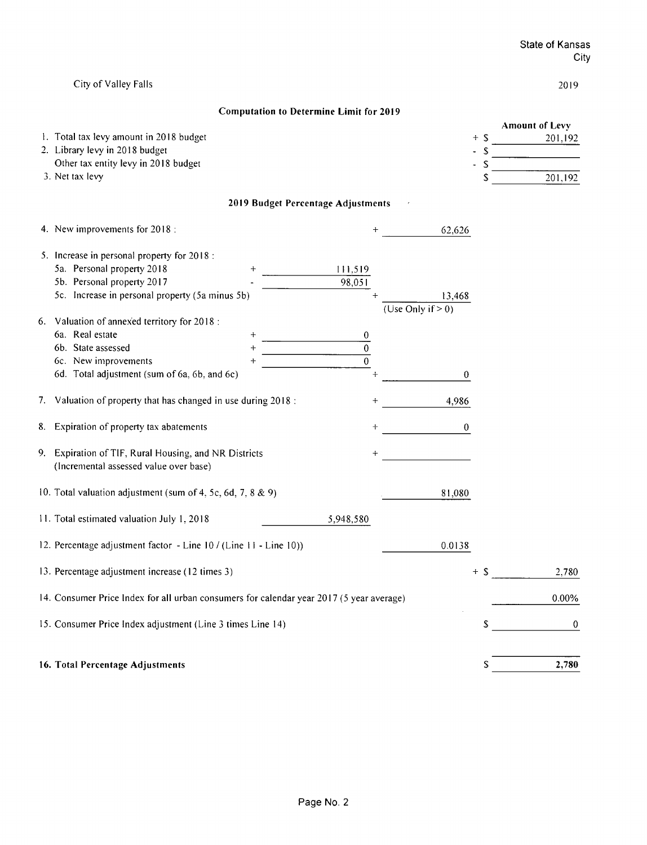|                                                                                                 |        | State of Kansas<br>City |
|-------------------------------------------------------------------------------------------------|--------|-------------------------|
| City of Valley Falls                                                                            |        | 2019                    |
| <b>Computation to Determine Limit for 2019</b>                                                  |        |                         |
|                                                                                                 |        | <b>Amount of Levy</b>   |
| 1. Total tax levy amount in 2018 budget                                                         | $+$ \$ | 201,192                 |
| 2. Library levy in 2018 budget                                                                  |        |                         |
| Other tax entity levy in 2018 budget                                                            | S      |                         |
| 3. Net tax levy                                                                                 |        | $\frac{1}{201,192}$     |
| 2019 Budget Percentage Adjustments                                                              |        |                         |
| 4. New improvements for 2018:<br>62,626                                                         |        |                         |
| 5. Increase in personal property for 2018:                                                      |        |                         |
| 5a. Personal property 2018<br>111,519                                                           |        |                         |
| 5b. Personal property 2017<br>98,051                                                            |        |                         |
| 5c. Increase in personal property (5a minus 5b)<br>13.468                                       |        |                         |
| (Use Only if $> 0$ )                                                                            |        |                         |
| 6. Valuation of annexed territory for 2018:                                                     |        |                         |
| 6a. Real estate                                                                                 |        |                         |
| $\overline{\overline{0}}$<br>6b. State assessed                                                 |        |                         |
| $\overline{0}$<br>6c. New improvements                                                          |        |                         |
| 6d. Total adjustment (sum of 6a, 6b, and 6c)<br>0                                               |        |                         |
| 7. Valuation of property that has changed in use during 2018:<br>4,986                          |        |                         |
| 8. Expiration of property tax abatements<br>0                                                   |        |                         |
| 9. Expiration of TIF, Rural Housing, and NR Districts<br>(Incremental assessed value over base) |        |                         |
| 10. Total valuation adjustment (sum of 4, 5c, 6d, 7, 8 & 9)<br>81,080                           |        |                         |
| 11. Total estimated valuation July 1, 2018<br>5,948,580                                         |        |                         |
| 12. Percentage adjustment factor - Line 10 / (Line 11 - Line 10))<br>0.0138                     |        |                         |
| 13. Percentage adjustment increase (12 times 3)                                                 | $+$ \$ | 2,780                   |
| 14. Consumer Price Index for all urban consumers for calendar year 2017 (5 year average)        |        | 0.00%                   |
| 15. Consumer Price Index adjustment (Line 3 times Line 14)                                      | \$     | 0                       |
|                                                                                                 |        |                         |
| 16. Total Percentage Adjustments                                                                | S      | 2,780                   |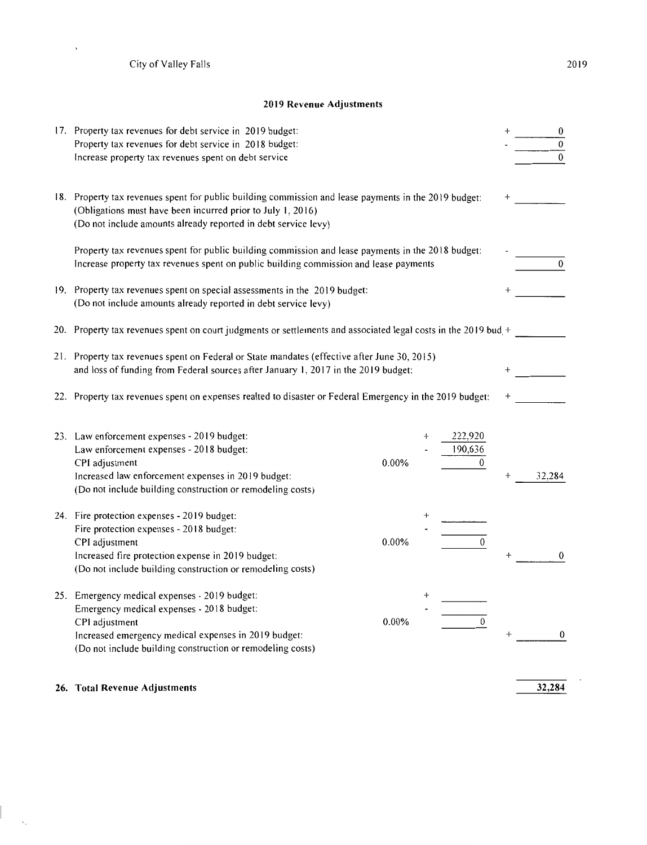$\overline{a}$ 

 $\langle \cdot \rangle$ 

### **2019 Revenue Adjustments**

| 17. Property tax revenues for debt service in 2019 budget:<br>Property tax revenues for debt service in 2018 budget:<br>Increase property tax revenues spent on debt service                                                           |       |                    |                           | $\overline{0}$ |  |  |
|----------------------------------------------------------------------------------------------------------------------------------------------------------------------------------------------------------------------------------------|-------|--------------------|---------------------------|----------------|--|--|
| 18. Property tax revenues spent for public building commission and lease payments in the 2019 budget:<br>(Obligations must have been incurred prior to July 1, 2016)<br>(Do not include amounts already reported in debt service levy) |       |                    |                           |                |  |  |
| Property tax revenues spent for public building commission and lease payments in the 2018 budget:<br>Increase property tax revenues spent on public building commission and lease payments                                             |       |                    |                           | $\mathbf{0}$   |  |  |
| 19. Property tax revenues spent on special assessments in the 2019 budget:<br>(Do not include amounts already reported in debt service levy)                                                                                           |       |                    |                           |                |  |  |
| 20. Property tax revenues spent on court judgments or settlements and associated legal costs in the 2019 bud +                                                                                                                         |       |                    |                           |                |  |  |
| 21. Property tax revenues spent on Federal or State mandates (effective after June 30, 2015)<br>and loss of funding from Federal sources after January 1, 2017 in the 2019 budget:                                                     |       |                    |                           |                |  |  |
| 22. Property tax revenues spent on expenses realted to disaster or Federal Emergency in the 2019 budget:                                                                                                                               |       |                    |                           |                |  |  |
| 23. Law enforcement expenses - 2019 budget:<br>Law enforcement expenses - 2018 budget:<br>CPI adjustment<br>Increased law enforcement expenses in 2019 budget:<br>(Do not include building construction or remodeling costs)           | 0.00% | 222,920<br>190,636 | 0<br>$\div$               | 32,284         |  |  |
| 24. Fire protection expenses - 2019 budget:<br>Fire protection expenses - 2018 budget:<br>CPI adjustment<br>Increased fire protection expense in 2019 budget:<br>(Do not include building construction or remodeling costs)            | 0.00% |                    | $\boldsymbol{0}$          | 0              |  |  |
| 25. Emergency medical expenses - 2019 budget:<br>Emergency medical expenses - 2018 budget:<br>CPI adjustment<br>Increased emergency medical expenses in 2019 budget:<br>(Do not include building construction or remodeling costs)     | 0.00% |                    | $\mathbf{0}$<br>$\ddot{}$ | 0              |  |  |
| 26. Total Revenue Adjustments                                                                                                                                                                                                          |       |                    |                           | 32,284         |  |  |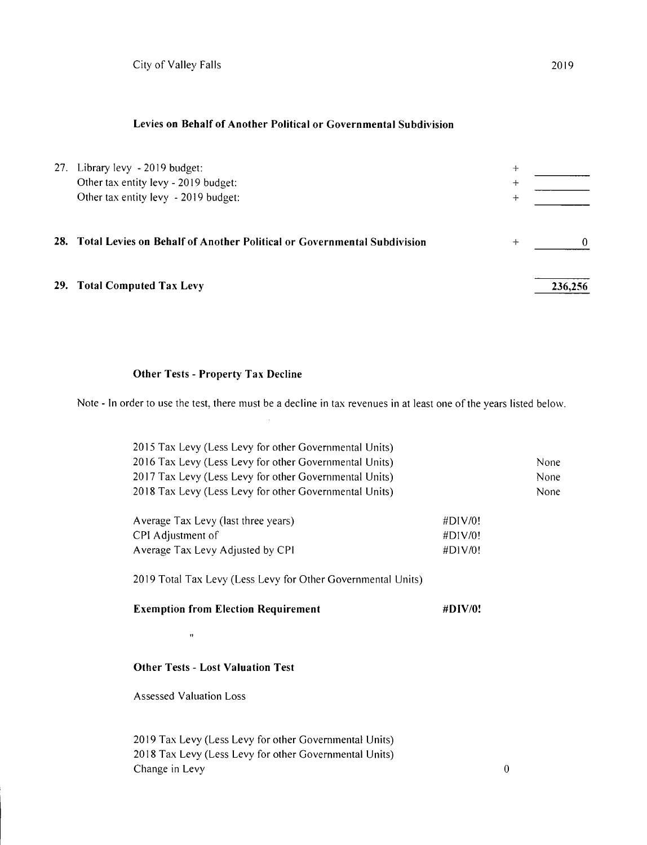### **Levies on Behalf of Another Political or Governmental Subdivision**

| 27. Library levy - 2019 budget:<br>Other tax entity levy - 2019 budget:<br>Other tax entity levy - 2019 budget: | $\ddot{}$<br>$\pm$<br>┿ |         |
|-----------------------------------------------------------------------------------------------------------------|-------------------------|---------|
| 28. Total Levies on Behalf of Another Political or Governmental Subdivision                                     | $\div$                  | ∩       |
| 29. Total Computed Tax Levy                                                                                     |                         | 236.256 |

## **Other Tests** - **Property Tax Decline**

Note - In order to use the test, there must be a decline in tax revenues in at least one of the years listed below.

| 2015 Tax Levy (Less Levy for other Governmental Units)<br>2016 Tax Levy (Less Levy for other Governmental Units)<br>2017 Tax Levy (Less Levy for other Governmental Units)<br>2018 Tax Levy (Less Levy for other Governmental Units) |             | None<br>None<br>None |  |  |  |
|--------------------------------------------------------------------------------------------------------------------------------------------------------------------------------------------------------------------------------------|-------------|----------------------|--|--|--|
| Average Tax Levy (last three years)                                                                                                                                                                                                  | #DIV/0!     |                      |  |  |  |
| CPI Adjustment of                                                                                                                                                                                                                    | $\#$ DIV/0! |                      |  |  |  |
| Average Tax Levy Adjusted by CPI                                                                                                                                                                                                     | #DIV/0!     |                      |  |  |  |
| 2019 Total Tax Levy (Less Levy for Other Governmental Units)<br><b>Exemption from Election Requirement</b><br>$\#$ DIV/0!                                                                                                            |             |                      |  |  |  |
| $^{\dagger}$                                                                                                                                                                                                                         |             |                      |  |  |  |
| <b>Other Tests - Lost Valuation Test</b><br>Assessed Valuation Loss                                                                                                                                                                  |             |                      |  |  |  |

2019 Tax Levy (Less Levy for other Governmental Units) 2018 Tax Levy (Less Levy for other Governmental Units) Change in Levy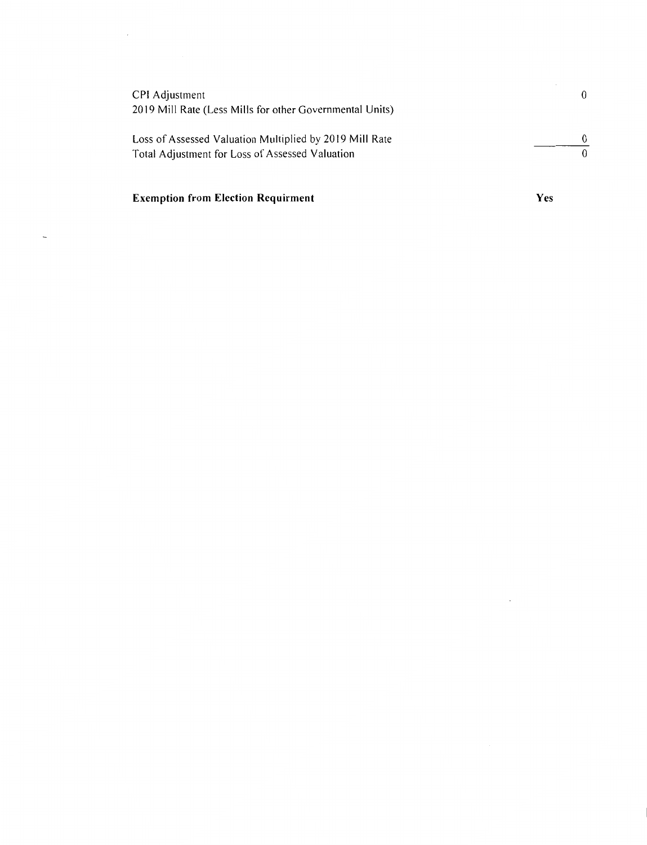| CPI Adjustment<br>2019 Mill Rate (Less Mills for other Governmental Units) | 0 |
|----------------------------------------------------------------------------|---|
| Loss of Assessed Valuation Multiplied by 2019 Mill Rate                    | 0 |
| Total Adjustment for Loss of Assessed Valuation                            |   |
|                                                                            |   |

# **Exemption from Election Requirment**

 $\bar{z}$ 

 $\overline{a}$ 

**Yes** 

 $\mathbb{R}^2$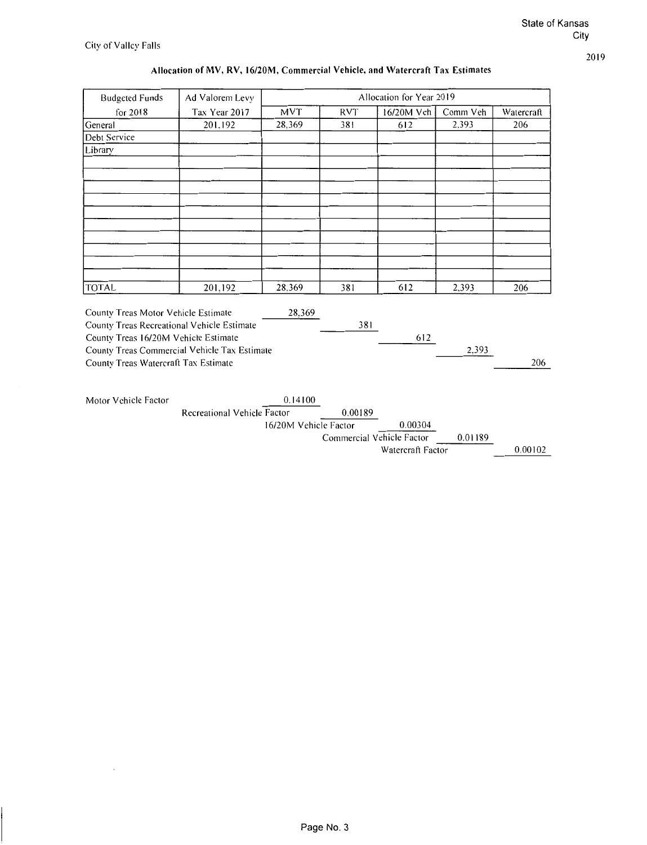# Allocation of MV, RV, 16/20M, Commercial Vehicle, and Watercraft Tax Estimates

| <b>Budgeted Funds</b>                        | Ad Valorem Levy             |                       |                           | Allocation for Year 2019 |          |            |
|----------------------------------------------|-----------------------------|-----------------------|---------------------------|--------------------------|----------|------------|
| for 2018                                     | Tax Year 2017               | <b>MVT</b>            | <b>RVT</b>                | 16/20M Veh               | Comm Veh | Watercraft |
| General                                      | 201.192                     | 28.369                | 381                       | 612                      | 2.393    | 206        |
| Debt Service                                 |                             |                       |                           |                          |          |            |
| Library                                      |                             |                       |                           |                          |          |            |
|                                              |                             |                       |                           |                          |          |            |
|                                              |                             |                       |                           |                          |          |            |
|                                              |                             |                       |                           |                          |          |            |
|                                              |                             |                       |                           |                          |          |            |
|                                              |                             |                       |                           |                          |          |            |
|                                              |                             |                       |                           |                          |          |            |
|                                              |                             |                       |                           |                          |          |            |
|                                              |                             |                       |                           |                          |          |            |
|                                              |                             |                       |                           |                          |          |            |
| <b>TOTAL</b>                                 | 201,192                     | 28,369                | 381                       | 612                      | 2,393    | 206        |
|                                              |                             |                       |                           |                          |          |            |
| County Treas Motor Vehicle Estimate          |                             | 28,369                |                           |                          |          |            |
| County Treas Recreational Vehicle Estimate   |                             |                       | 381                       |                          |          |            |
| County Treas 16/20M Vehicle Estimate         |                             |                       |                           | 612                      |          |            |
| County Treas Commercial Vehicle Tax Estimate |                             |                       |                           |                          | 2.393    |            |
| County Treas Watercraft Tax Estimate         |                             |                       |                           |                          |          | 206        |
|                                              |                             |                       |                           |                          |          |            |
| Motor Vehicle Factor                         |                             | 0.14100               |                           |                          |          |            |
|                                              | Recreational Vehicle Factor |                       | 0.00189                   |                          |          |            |
|                                              |                             | 16/20M Vehicle Factor |                           | 0.00304                  |          |            |
|                                              |                             |                       | Commercial Vehicle Factor |                          | 0.01189  |            |
|                                              |                             |                       |                           | Watercraft Factor        |          | 0.00102    |
|                                              |                             |                       |                           |                          |          |            |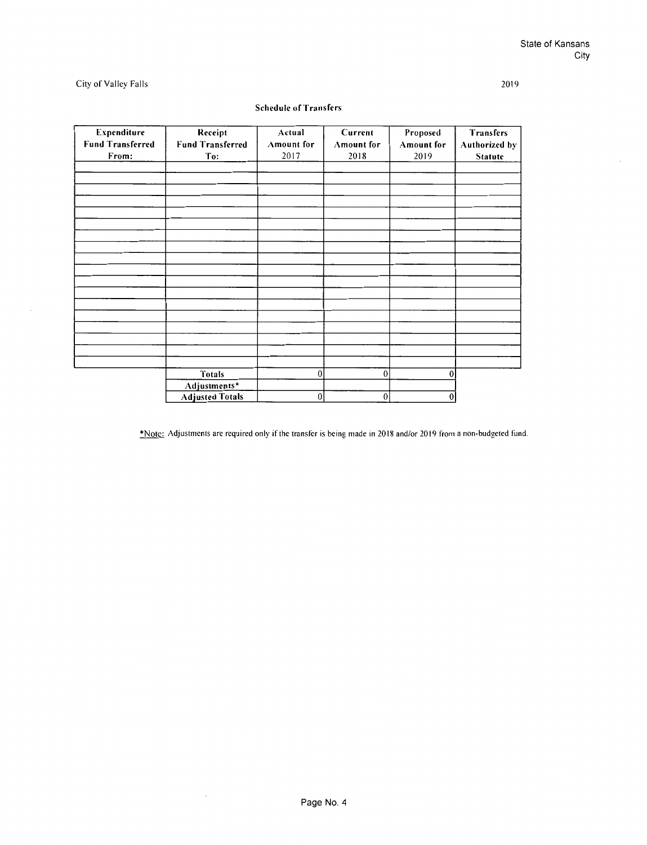### 2019

### City of Valley Falls

| Expenditure<br><b>Fund Transferred</b> | Receipt<br><b>Fund Transferred</b> | Actual<br>Amount for | Current<br><b>Amount</b> for | Proposed<br><b>Amount</b> for | Transfers<br>Authorized by |
|----------------------------------------|------------------------------------|----------------------|------------------------------|-------------------------------|----------------------------|
| From:                                  | To:                                | 2017                 | 2018                         | 2019                          | Statute                    |
|                                        |                                    |                      |                              |                               |                            |
|                                        |                                    |                      |                              |                               |                            |
|                                        |                                    |                      |                              |                               |                            |
|                                        |                                    |                      |                              |                               |                            |
|                                        |                                    |                      |                              |                               |                            |
|                                        |                                    |                      |                              |                               |                            |
|                                        |                                    |                      |                              |                               |                            |
|                                        |                                    |                      |                              |                               |                            |
|                                        |                                    |                      |                              |                               |                            |
|                                        |                                    |                      |                              |                               |                            |
|                                        |                                    |                      |                              |                               |                            |
|                                        |                                    |                      |                              |                               |                            |
|                                        |                                    |                      |                              |                               |                            |
|                                        |                                    |                      |                              |                               |                            |
|                                        |                                    |                      |                              |                               |                            |
|                                        |                                    |                      |                              |                               |                            |
|                                        |                                    |                      |                              |                               |                            |
|                                        | <b>Totals</b>                      | $\mathbf{0}$         | $\overline{0}$               | 0                             |                            |
|                                        | Adjustments*                       |                      |                              |                               |                            |
|                                        | <b>Adjusted Totals</b>             | $\boldsymbol{0}$     | $\boldsymbol{0}$             | $\overline{0}$                |                            |

### Schedule of Transfers

\*Note: Adjustments are required only if the transfer is being made in 2018 and/or 2019 from a non-budgeted fund.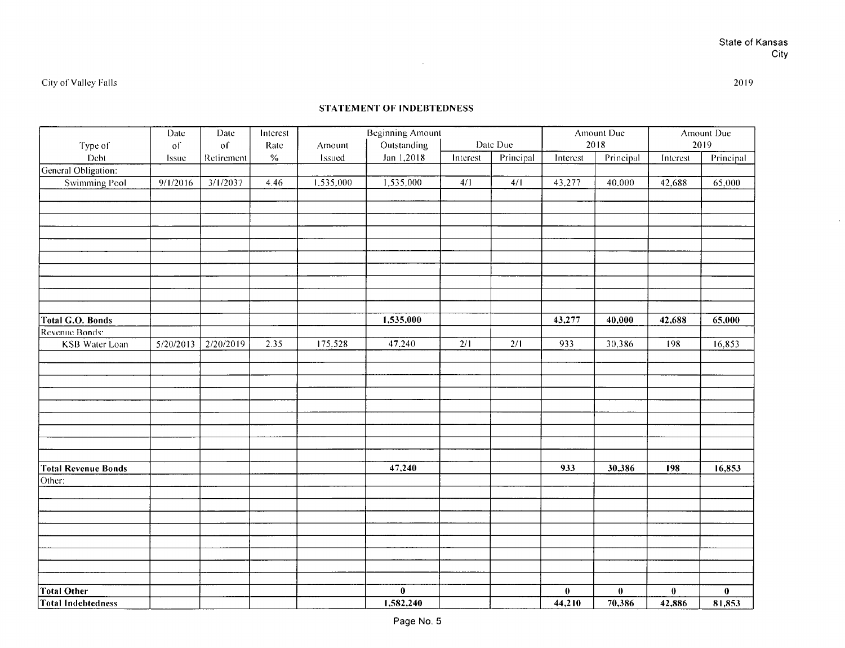$\alpha$ 

 $\mathcal{L}^{\text{max}}_{\text{max}}$  , where  $\mathcal{L}^{\text{max}}_{\text{max}}$ 

|                            | Date      | Date<br>of | Interest     |                  | <b>Beginning Amount</b>   |          | Date Due  |          | Amount Due<br>2018 |          | Amount Due<br>2019 |
|----------------------------|-----------|------------|--------------|------------------|---------------------------|----------|-----------|----------|--------------------|----------|--------------------|
| Type of<br>Debt            | of        | Retirement | Rate<br>$\%$ | Amount<br>Issued | Outstanding<br>Jan 1,2018 | Interest | Principal | Interest | Principal          | Interest |                    |
| General Obligation:        | Issue     |            |              |                  |                           |          |           |          |                    |          | Principal          |
| <b>Swimming Pool</b>       | 9/1/2016  | 3/1/2037   | 4.46         | 1.535,000        | 1,535,000                 | 4/1      | 4/1       | 43,277   | 40,000             | 42,688   | 65,000             |
|                            |           |            |              |                  |                           |          |           |          |                    |          |                    |
|                            |           |            |              |                  |                           |          |           |          |                    |          |                    |
|                            |           |            |              |                  |                           |          |           |          |                    |          |                    |
|                            |           |            |              |                  |                           |          |           |          |                    |          |                    |
|                            |           |            |              |                  |                           |          |           |          |                    |          |                    |
|                            |           |            |              |                  |                           |          |           |          |                    |          |                    |
|                            |           |            |              |                  |                           |          |           |          |                    |          |                    |
|                            |           |            |              |                  |                           |          |           |          |                    |          |                    |
|                            |           |            |              |                  |                           |          |           |          |                    |          |                    |
|                            |           |            |              |                  |                           |          |           |          |                    |          |                    |
| Total G.O. Bonds           |           |            |              |                  | 1,535,000                 |          |           | 43,277   | 40,000             | 42,688   | 65,000             |
| Revenue Bonds:             |           |            |              |                  |                           |          |           |          |                    |          |                    |
| <b>KSB</b> Water Loan      | 5/20/2013 | 2/20/2019  | 2.35         | 175,528          | 47,240                    | 2/1      | 2/1       | 933      | 30,386             | 198      | 16,853             |
|                            |           |            |              |                  |                           |          |           |          |                    |          |                    |
|                            |           |            |              |                  |                           |          |           |          |                    |          |                    |
|                            |           |            |              |                  |                           |          |           |          |                    |          |                    |
|                            |           |            |              |                  |                           |          |           |          |                    |          |                    |
|                            |           |            |              |                  |                           |          |           |          |                    |          |                    |
|                            |           |            |              |                  |                           |          |           |          |                    |          |                    |
|                            |           |            |              |                  |                           |          |           |          |                    |          |                    |
|                            |           |            |              |                  |                           |          |           |          |                    |          |                    |
| <b>Total Revenue Bonds</b> |           |            |              |                  | 47,240                    |          |           | 933      | 30,386             | 198      | 16,853             |
| Other:                     |           |            |              |                  |                           |          |           |          |                    |          |                    |
|                            |           |            |              |                  |                           |          |           |          |                    |          |                    |
|                            |           |            |              |                  |                           |          |           |          |                    |          |                    |
|                            |           |            |              |                  |                           |          |           |          |                    |          |                    |
|                            |           |            |              |                  |                           |          |           |          |                    |          |                    |
|                            |           |            |              |                  |                           |          |           |          |                    |          |                    |
|                            |           |            |              |                  |                           |          |           |          |                    |          |                    |
|                            |           |            |              |                  |                           |          |           |          |                    |          |                    |
|                            |           |            |              |                  |                           |          |           |          |                    |          |                    |
| <b>Total Other</b>         |           |            |              |                  | $\bf{0}$                  |          |           | $\bf{0}$ | $\bf{0}$           | $\bf{0}$ | $\bf{0}$           |
| <b>Total Indebtedness</b>  |           |            |              |                  | 1,582,240                 |          |           | 44,210   | 70,386             | 42,886   | 81,853             |

2019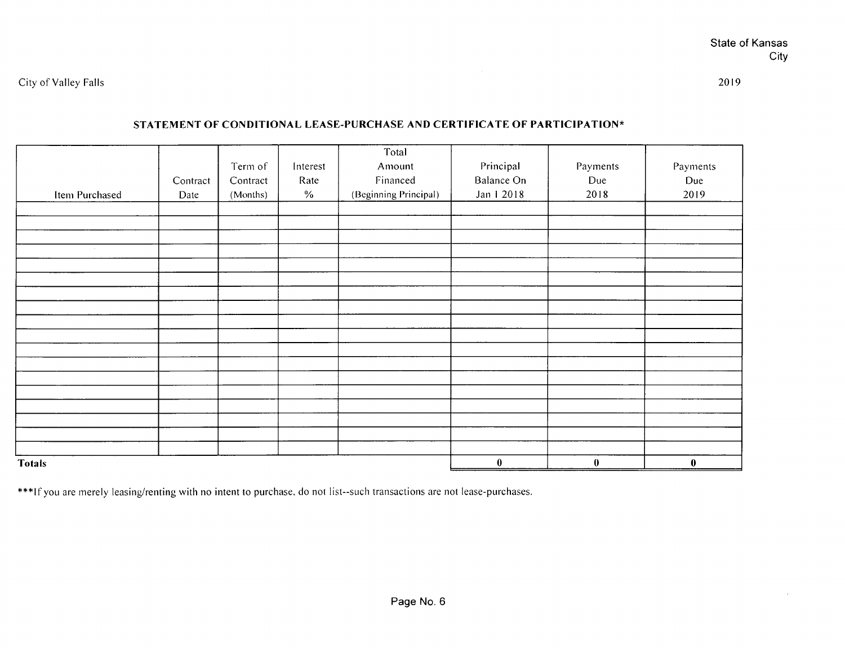$\alpha$ 

## **STATEMENT OF CONDITIONAL LEASE-PURCHASE AND CERTIFICATE OF PARTICIPATION\***

|                 |          |          |          | Total                 |            |                  |          |
|-----------------|----------|----------|----------|-----------------------|------------|------------------|----------|
|                 |          | Term of  | Interest | Amount                | Principal  | Payments         | Payments |
|                 | Contract | Contract | Rate     | Financed              | Balance On | Due              | Due      |
| Item Purchased  | Date     | (Months) | $\%$     | (Beginning Principal) | Jan 1 2018 | 2018             | 2019     |
|                 |          |          |          |                       |            |                  |          |
|                 |          |          |          |                       |            |                  |          |
|                 |          |          |          |                       |            |                  |          |
| <b>Contract</b> |          |          |          |                       |            |                  |          |
|                 |          |          |          |                       |            |                  |          |
|                 |          |          |          |                       |            |                  |          |
|                 |          |          |          |                       |            |                  |          |
|                 |          |          |          |                       |            |                  |          |
|                 |          |          |          |                       |            |                  |          |
|                 |          |          |          |                       |            |                  |          |
|                 |          |          |          |                       |            |                  |          |
|                 |          |          |          |                       |            |                  |          |
|                 |          |          |          |                       |            |                  |          |
|                 |          |          |          |                       |            |                  |          |
|                 |          |          |          |                       |            |                  |          |
|                 |          |          |          |                       |            |                  |          |
|                 |          |          |          |                       |            |                  |          |
|                 |          |          |          |                       |            |                  |          |
| <b>Totals</b>   |          |          |          | $\bf{0}$              | $\bf{0}$   | $\boldsymbol{0}$ |          |

\*\*\*If you are merely leasing/renting with no intent to purchase, do not list--such transactions are not lease-purchases.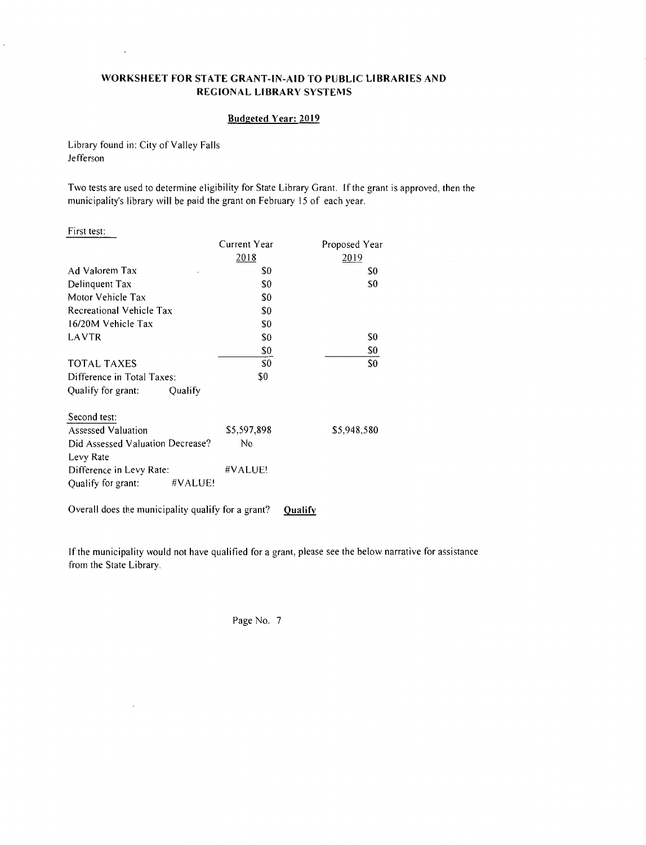### **WORKSHEET FOR STATE GRANT-IN-AID TO PUBLIC LIBRARIES AND REGIONAL LIBRARY SYSTEMS**

### **Budgeted Year: 2019**

Library found in: City of Valley Falls Jefferson

 $\cdot$ 

 $\ddot{\phantom{0}}$ 

Two tests are used to determine eligibility for State Library Grant. If the grant is approved, then the municipality's library will be paid the grant on February 15 of each year.

| First test:                      |                |               |
|----------------------------------|----------------|---------------|
|                                  | Current Year   | Proposed Year |
|                                  | 2018           | 2019          |
| Ad Valorem Tax                   | \$0            | \$0           |
| Delinquent Tax                   | S0             | S0            |
| Motor Vehicle Tax                | S0             |               |
| Recreational Vehicle Tax         | \$0            |               |
| 16/20M Vehicle Tax               | S <sub>0</sub> |               |
| LAVTR                            | S0             | \$0           |
|                                  | \$0            | \$0           |
| TOTAL TAXES                      | \$0            | S0            |
| Difference in Total Taxes:       | \$0            |               |
| Qualify<br>Qualify for grant:    |                |               |
| Second test:                     |                |               |
| Assessed Valuation               | \$5,597,898    | \$5,948,580   |
| Did Assessed Valuation Decrease? | Nο             |               |
| Levy Rate                        |                |               |
| Difference in Levy Rate:         | #VALUE!        |               |
| #VALUE!<br>Qualify for grant:    |                |               |

Overall does the municipality qualify for a grant? **Qualify** 

 $\ddot{\phantom{a}}$ 

If the municipality would not have qualified for a grant, please see the below narrative for assistance from the State Library.

Page No. 7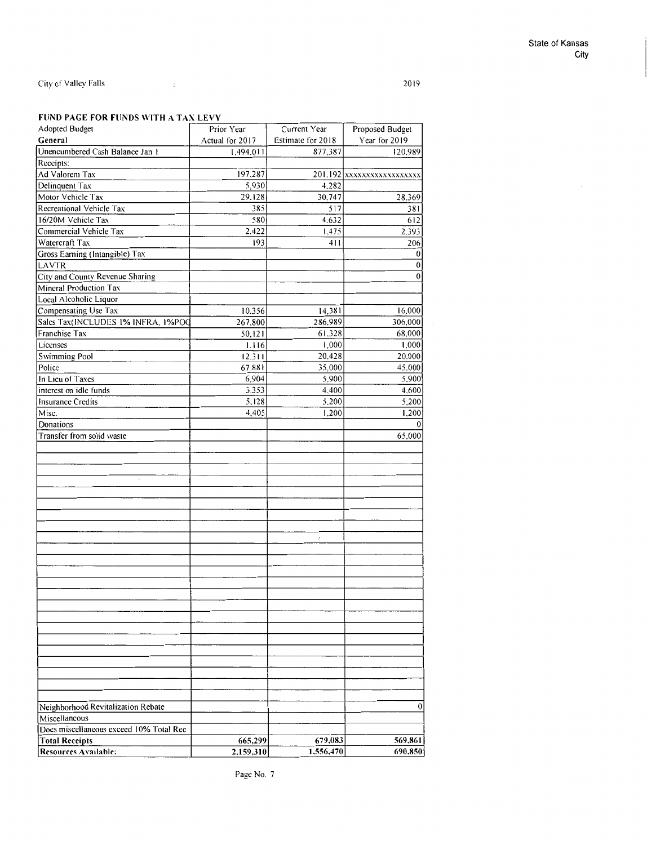2019

### **FUND PAGE FOR FUNDS WITH A TAX LEVY**

 $\sim 10^{11}$  and  $\sim 10^{11}$ 

|                                         | rond i ao chon i chos mi illa taa cchi |                   |                          |
|-----------------------------------------|----------------------------------------|-------------------|--------------------------|
| Adopted Budget                          | Prior Year                             | Current Year      | Proposed Budget          |
| General                                 | Actual for 2017                        | Estimate for 2018 | Year for 2019            |
| Unencumbered Cash Balance Jan 1         | 1,494.011                              | 877,387           | 120,989                  |
| Receipts:                               |                                        |                   |                          |
| Ad Valorem Tax                          | 197,287                                |                   | 201.192 XXXXXXXXXXXXXXXX |
| Delinquent Tax                          | 5.930                                  | 4.282             |                          |
| Motor Vehicle Tax                       | 29.128                                 | 30,747            | 28,369                   |
| Recreational Vehicle Tax                | 385                                    | 517               | 381                      |
| 16/20M Vehicle Tax                      | 580                                    | 4.632             | 612                      |
| Commercial Vehicle Tax                  | 2,422                                  | 1,475             | 2.393                    |
| Watercraft Tax                          | 193                                    | 411               | 206                      |
| Gross Earning (Intangible) Tax          |                                        |                   | 0                        |
| LAVTR                                   |                                        |                   | 0                        |
| City and County Revenue Sharing         |                                        |                   | $\mathbf{0}$             |
| Mineral Production Tax                  |                                        |                   |                          |
| Local Alcoholic Liquor                  |                                        |                   |                          |
|                                         |                                        |                   | 16,000                   |
| Compensating Use Tax                    | 10.356                                 | 14,381            |                          |
| Sales Tax(INCLUDES 1% INFRA, 1%POO      | 267,800                                | 286,989           | 306,000                  |
| Franchise Tax                           | 50, 121                                | 61.328            | 68,000                   |
| Licenses                                | 1.116                                  | 1,000             | 1,000                    |
| <b>Swimming Pool</b>                    | 12.311                                 | 20,428            | 20,000                   |
| Police                                  | 67,881                                 | 35,000            | 45.000                   |
| In Lieu of Taxes                        | 6,904                                  | 5,900             | 5,900                    |
| interest on idle funds                  | 3,353                                  | 4,400             | 4,600                    |
| <b>Insurance Credits</b>                | 5,128                                  | 5,200             | 5,200                    |
| Misc.                                   | 4,405                                  | 1,200             | 1,200                    |
| Donations                               |                                        |                   | $\overline{0}$           |
| Transfer from solid waste               |                                        |                   | 65,000                   |
|                                         |                                        |                   |                          |
|                                         |                                        |                   |                          |
|                                         |                                        |                   |                          |
|                                         |                                        |                   |                          |
|                                         |                                        |                   |                          |
|                                         |                                        |                   |                          |
|                                         |                                        |                   |                          |
|                                         |                                        |                   |                          |
|                                         |                                        |                   |                          |
|                                         |                                        | ŕ.                |                          |
|                                         |                                        |                   |                          |
|                                         |                                        |                   |                          |
|                                         |                                        |                   |                          |
|                                         |                                        |                   |                          |
|                                         |                                        |                   |                          |
|                                         |                                        |                   |                          |
|                                         |                                        |                   |                          |
|                                         |                                        |                   |                          |
|                                         |                                        |                   |                          |
|                                         |                                        |                   |                          |
|                                         |                                        |                   |                          |
|                                         |                                        |                   |                          |
|                                         |                                        |                   |                          |
|                                         |                                        |                   |                          |
| Neighborhood Revitalization Rebate      |                                        |                   | 0                        |
| Miscellaneous                           |                                        |                   |                          |
| Does miscellaneous exceed 10% Total Rec |                                        |                   |                          |
| <b>Total Receipts</b>                   | 665,299                                | 679,083           | 569,861                  |
| Resources Available:                    | 2,159,310                              | 1,556,470         | 690,850                  |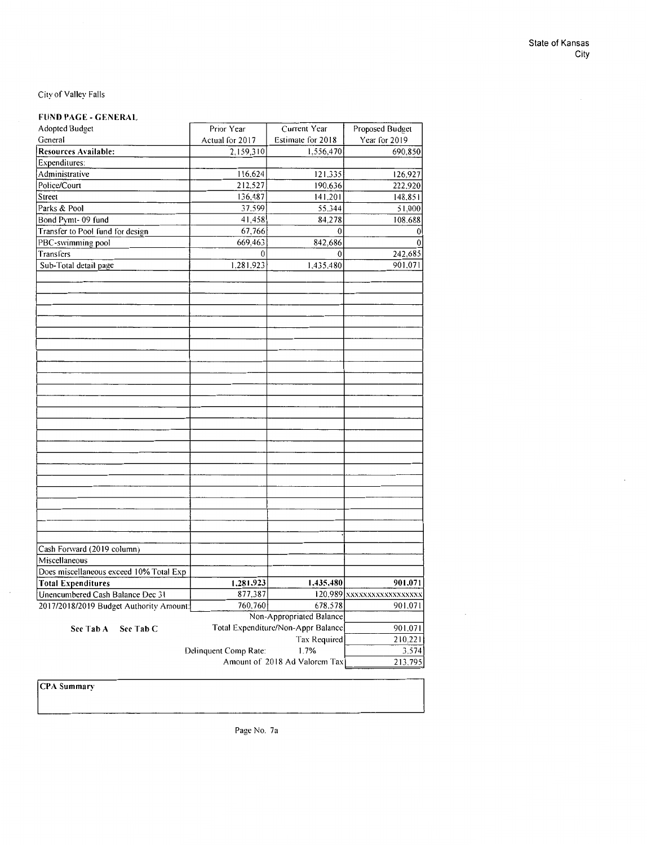### **FUND PAGE** - **GENERAL**

| <b>Adopted Budget</b>                   | Prior Year                    | Current Year                       | Proposed Budget          |
|-----------------------------------------|-------------------------------|------------------------------------|--------------------------|
| General                                 | Actual for 2017               | Estimate for 2018                  | Year for 2019            |
| Resources Available:                    | 2,159,310                     | 1,556,470                          | 690,850                  |
| Expenditures:                           |                               |                                    |                          |
| Administrative                          | 116,624                       | 121,335                            | 126,927                  |
| Police/Court                            | 212,527                       | 190.636                            | 222.920                  |
| Street                                  | 136,487                       | 141.201                            | 148,851                  |
| Parks & Pool                            | 37,599                        | 55,344                             | 51,000                   |
| Bond Pymt-09 fund                       | 41,458                        | 84.278                             | 108.688                  |
| Transfer to Pool fund for design        | 67,766                        | $\bf{0}$                           | $\bf{0}$                 |
| PBC-swimming pool                       | 669,463                       | 842,686                            | $\theta$                 |
| Transfers                               | 0                             | $\mathbf 0$                        | 242,685                  |
| Sub-Total detail page                   | 1,281.923                     | 1.435.480                          | 901.071                  |
|                                         |                               |                                    |                          |
|                                         |                               |                                    |                          |
|                                         |                               |                                    |                          |
|                                         |                               |                                    |                          |
| Cash Forward (2019 column)              |                               |                                    |                          |
| Miscellaneous                           |                               |                                    |                          |
| Does miscellaneous exceed 10% Total Exp |                               |                                    |                          |
| <b>Total Expenditures</b>               | 1,281,923                     | 1,435,480                          | 901,071                  |
| Unencumbered Cash Balance Dec 31        | 877.387                       |                                    | 120.989 XXXXXXXXXXXXXXXX |
| 2017/2018/2019 Budget Authority Amount: | 760,760                       | 678,578                            | 901.071                  |
|                                         |                               | Non-Appropriated Balance           |                          |
|                                         |                               | Total Expenditure/Non-Appr Balance | 901.071                  |
| See Tab C<br>See Tab A                  |                               |                                    | 210.221                  |
|                                         |                               | Tax Required                       |                          |
|                                         | Delinquent Comp Rate:         | 1.7%                               | 3,574                    |
|                                         | Amount of 2018 Ad Valorem Tax | 213,795                            |                          |

**CPA** Summary

Page No. 7a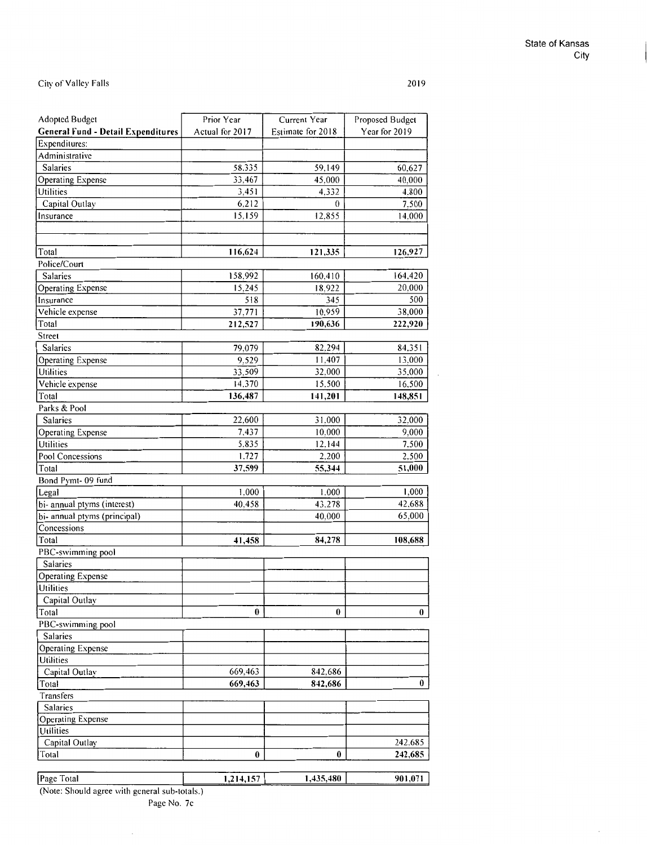### State of Kansas City

 $\bar{z}$ 

### City of Valley Falls

 $\bar{z}$ 

| <b>Adopted Budget</b>                     | Prior Year            | Current Year      | Proposed Budget |  |
|-------------------------------------------|-----------------------|-------------------|-----------------|--|
| <b>General Fund - Detail Expenditures</b> | Actual for 2017       | Estimate for 2018 | Year for 2019   |  |
| Expenditures:                             |                       |                   |                 |  |
| Administrative                            |                       |                   |                 |  |
| Salaries                                  | 58,335                | 59,149            | 60,627          |  |
| Operating Expense                         | 33,467                | 45,000            | 40.000          |  |
| Utilities                                 | 3,451                 | 4,332             | 4.800           |  |
| Capital Outlay                            | 6,212                 | $\theta$          | 7.500           |  |
| Insurance                                 | 15,159                | 12,855            | 14.000          |  |
|                                           |                       |                   |                 |  |
|                                           |                       |                   |                 |  |
| Total                                     | 116,624               | 121,335           | 126,927         |  |
| Police/Court                              |                       |                   |                 |  |
| Salaries                                  | 158,992               | 160,410           | 164,420         |  |
| Operating Expense                         | 15,245                | 18,922            | 20,000          |  |
| Insurance                                 | 518                   | 345               | 500             |  |
| Vehicle expense                           | 37,771                | 10,959            | 38,000          |  |
| Total                                     | 212,527               | 190,636           | 222,920         |  |
| Street                                    |                       |                   |                 |  |
| Salaries                                  | 79,079                | 82,294            | 84.351          |  |
| <b>Operating Expense</b>                  | 9,529                 | 11,407            | 13.000          |  |
| Utilities                                 | 33,509                | 32,000            | 35,000          |  |
| Vehicle expense                           | 14,370                | 15,500            | 16,500          |  |
| Total                                     | 136,487               | 141,201           | 148,851         |  |
| Parks & Pool                              |                       |                   |                 |  |
| <b>Salaries</b>                           | 22,600                | 31,000            | 32.000          |  |
| <b>Operating Expense</b>                  | 7.437                 | 10.000            | 9.000           |  |
| Utilities                                 | 5,835                 | 12,144            | 7,500           |  |
| Pool Concessions                          | 1,727                 | 2,200             | 2,500           |  |
| Total                                     | 37,599                | 55,344            | 51,000          |  |
| Bond Pymt-09 fund                         |                       |                   |                 |  |
| Legal                                     | 1,000                 | 1,000             | 1,000           |  |
| bi- annual ptyms (interest)               | 40,458                | 43,278            | 42,688          |  |
| bi- annual ptyms (principal)              |                       | 40,000            | 65,000          |  |
| Concessions                               |                       |                   |                 |  |
| Total                                     | 41,458                | 84,278            | 108,688         |  |
| PBC-swimming pool                         |                       |                   |                 |  |
| Salaries                                  |                       |                   |                 |  |
| <b>Operating Expense</b>                  |                       |                   |                 |  |
| Utilities                                 |                       |                   |                 |  |
| Capital Outlay                            |                       |                   |                 |  |
| Total                                     | $\boldsymbol{\theta}$ | 0                 | 0               |  |
| PBC-swimming pool                         |                       |                   |                 |  |
| Salaries                                  |                       |                   |                 |  |
| <b>Operating Expense</b>                  |                       |                   |                 |  |
| Utilities                                 |                       |                   |                 |  |
| Capital Outlay                            | 669,463               | 842,686           |                 |  |
| Total                                     | 669,463               | 842,686           | 0               |  |
| Transfers                                 |                       |                   |                 |  |
| Salaries                                  |                       |                   |                 |  |
| <b>Operating Expense</b>                  |                       |                   |                 |  |
| Utilities                                 |                       |                   |                 |  |
| Capital Outlay                            |                       |                   | 242,685         |  |
| Total                                     | $\bf{0}$              | 0                 | 242,685         |  |
|                                           |                       |                   |                 |  |
| Page Total                                | 1,214,157             | 1,435,480         | 901,071         |  |

(Note: Should agree with general sub-totals.)

 $\overline{\phantom{a}}$ 

Page No. 7c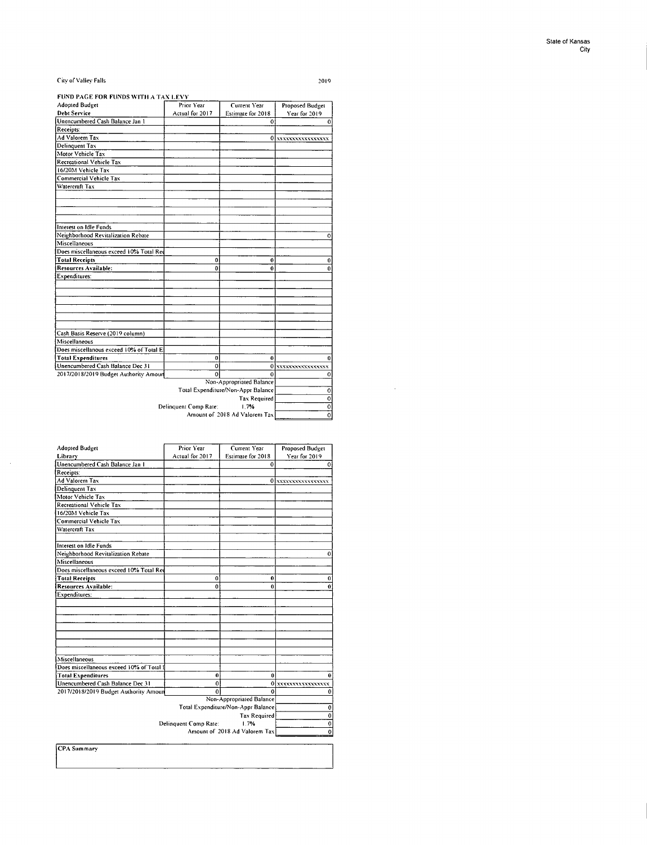$\hat{\boldsymbol{\beta}}$ 

### **FUND PAGE FOR FUNDS WITII A TAX** I EV\'

| <b>Adopted Budget</b>                             | Prior Year            | Current Year                          | Proposed Budget    |  |
|---------------------------------------------------|-----------------------|---------------------------------------|--------------------|--|
| <b>Debt Service</b>                               | Actual for 2017       | Estimate for 2018                     | Year for 2019      |  |
| Unencumbered Cash Balance Jan 1                   |                       | 0                                     | 0                  |  |
| Receipts:                                         |                       |                                       |                    |  |
| Ad Valorem Tax                                    |                       |                                       | 0 XXXXXXXXXXXXXXX  |  |
| Delinquent Tax                                    |                       |                                       |                    |  |
| Motor Vehicle Tax                                 |                       |                                       |                    |  |
| Recreational Vehicle Tax                          |                       |                                       |                    |  |
| 16/20M Vehicle Tax                                |                       |                                       |                    |  |
| Commercial Vehicle Tax                            |                       |                                       |                    |  |
| Watercraft Tax                                    |                       |                                       |                    |  |
|                                                   |                       |                                       |                    |  |
|                                                   |                       |                                       |                    |  |
| Interest on Idle Funds                            |                       |                                       |                    |  |
| Neighborhood Revitalization Rebate                |                       |                                       | 0                  |  |
| Miscellaneous                                     |                       |                                       |                    |  |
| Does miscellaneous exceed 10% Total Ree           |                       |                                       |                    |  |
| <b>Total Receipts</b>                             | 0                     | 0                                     | 0                  |  |
| <b>Resources Available:</b>                       | 0                     | 0                                     | $\bf{0}$           |  |
| Expenditures:                                     |                       |                                       |                    |  |
|                                                   |                       |                                       |                    |  |
|                                                   |                       |                                       |                    |  |
|                                                   |                       |                                       |                    |  |
|                                                   |                       |                                       |                    |  |
|                                                   |                       |                                       |                    |  |
|                                                   |                       |                                       |                    |  |
| Cash Basis Reserve (2019 column)<br>Miscellaneous |                       |                                       |                    |  |
|                                                   |                       |                                       |                    |  |
| Does miscellanous exceed 10% of Total E:          |                       |                                       |                    |  |
| <b>Total Expenditures</b>                         | 0                     | 0                                     | 0                  |  |
| Unencumbered Cash Balance Dec 31                  | 0                     |                                       | 0 XXXXXXXXXXXXXXXX |  |
| 2017/2018/2019 Budget Authority Amoun             | Ô                     | 0                                     | 0                  |  |
|                                                   |                       | Non-Appropriated Balance              | $\pmb{0}$          |  |
| Total Expenditure/Non-Appr Balance                |                       |                                       |                    |  |
|                                                   |                       | <b>Tax Required</b>                   | $\overline{\circ}$ |  |
|                                                   | Delinquent Comp Rate: | 1.7%<br>Amount of 2018 Ad Valorem Tax | $\overline{0}$     |  |
|                                                   | $\mathbf{o}$          |                                       |                    |  |

| <b>Adopted Budget</b>                    | Prior Year            | Current Year                       | <b>Proposed Budget</b> |
|------------------------------------------|-----------------------|------------------------------------|------------------------|
| Library                                  | Actual for 2017       | Estimate for 2018                  | Year for 2019          |
| Unencumbered Cash Balance Jan 1          |                       | $\theta$                           | $\mathbf{0}$           |
| Receipts:                                |                       |                                    |                        |
| <b>Ad Valorem Tax</b>                    |                       |                                    | 0 XXXXXXXXXXXXXXXX     |
| Delinquent Tax                           |                       |                                    |                        |
| Motor Vehicle Tax                        |                       |                                    |                        |
| Recreational Vehicle Tax                 |                       |                                    |                        |
| 16/20M Vehicle Tax                       |                       |                                    |                        |
| Commercial Vehicle Tax                   |                       |                                    |                        |
| Watercraft Tax                           |                       |                                    |                        |
|                                          |                       |                                    |                        |
| Interest on Idle Funds                   |                       |                                    |                        |
| Neighborhood Revitalization Rebate       |                       |                                    | 0                      |
| Miscellaneous                            |                       |                                    |                        |
| Does miscellaneous exceed 10% Total Red  |                       |                                    |                        |
| <b>Total Receipts</b>                    | 0                     | 0                                  | $\bf{0}$               |
| Resources Available:                     | $\bf{0}$              | $\bf{0}$                           | 0                      |
| Expenditures:                            |                       |                                    |                        |
|                                          |                       |                                    |                        |
|                                          |                       |                                    |                        |
|                                          |                       |                                    |                        |
|                                          |                       |                                    |                        |
|                                          |                       |                                    |                        |
|                                          |                       |                                    |                        |
|                                          |                       |                                    |                        |
| Miscellaneous                            |                       |                                    |                        |
| Does miscellaneous exceed 10% of Total I |                       |                                    |                        |
| <b>Total Expenditures</b>                | 0                     | 0                                  | 0                      |
| Unencumbered Cash Balance Dec 31         | $\mathbf 0$           |                                    | 0 xxxxxxxxxxxxxxxx     |
| 2017/2018/2019 Budget Authority Amoun    | 0                     | $\mathbf 0$                        | 0                      |
|                                          |                       | Non-Appropriated Balance           |                        |
|                                          |                       | Total Expenditure/Non-Appr Balance | $\mathbf 0$            |
|                                          | Delinquent Comp Rate: | <b>Tax Required</b><br>1.7%        | 0                      |
|                                          | $\mathbf 0$           |                                    |                        |
|                                          |                       | Amount of 2018 Ad Valorem Tax      | 0                      |
| CPA Summary                              |                       |                                    |                        |

PA Summary

 $\mathcal{A}^{\mathcal{A}}$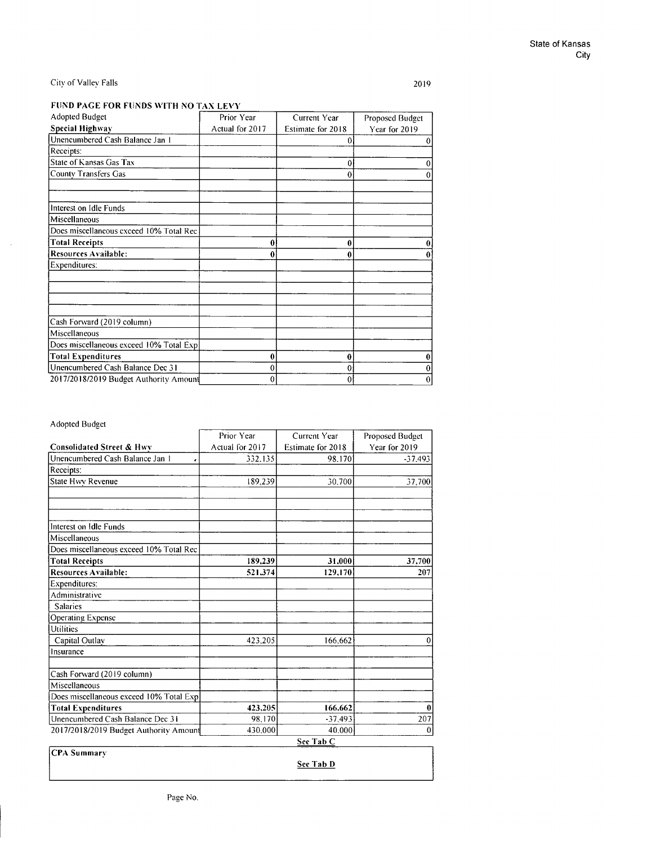2019

### **FUND PAGE FOR FUNDS WITH NO TAX LEVY**

| Adopted Budget                           | Prior Year      | Current Year      | Proposed Budget |  |
|------------------------------------------|-----------------|-------------------|-----------------|--|
| <b>Special Highway</b>                   | Actual for 2017 | Estimate for 2018 | Year for 2019   |  |
| Unencumbered Cash Balance Jan 1          |                 | 0                 | 0               |  |
| Receipts:                                |                 |                   |                 |  |
| State of Kansas Gas Tax                  |                 | 0                 |                 |  |
| County Transfers Gas                     |                 | 0                 |                 |  |
|                                          |                 |                   |                 |  |
| Interest on Idle Funds                   |                 |                   |                 |  |
| Miscellaneous                            |                 |                   |                 |  |
| Does miscellaneous exceed 10% Total Rec- |                 |                   |                 |  |
| <b>Total Receipts</b>                    | 0               | 0                 |                 |  |
| <b>Resources Available:</b>              |                 | 0                 |                 |  |
| Expenditures:                            |                 |                   |                 |  |
|                                          |                 |                   |                 |  |
|                                          |                 |                   |                 |  |
| Cash Forward (2019 column)               |                 |                   |                 |  |
| Miscellaneous                            |                 |                   |                 |  |
| Does miscellaneous exceed 10% Total Expl |                 |                   |                 |  |
| <b>Total Expenditures</b>                | 0               | 0                 |                 |  |
| Unencumbered Cash Balance Dec 31         | 0               | 0                 |                 |  |
| 2017/2018/2019 Budget Authority Amount   | 0               | 0                 | 0               |  |

### Adopted Budget

|                                         | Prior Year      | Current Year      | Proposed Budget |  |
|-----------------------------------------|-----------------|-------------------|-----------------|--|
| <b>Consolidated Street &amp; Hwy</b>    | Actual for 2017 | Estimate for 2018 | Year for 2019   |  |
| Unencumbered Cash Balance Jan 1         | 332.135         | 98.170            | $-37.493$       |  |
| Receipts:                               |                 |                   |                 |  |
| <b>State Hwy Revenue</b>                | 189.239         | 30.700            | 37,700          |  |
|                                         |                 |                   |                 |  |
| Interest on Idle Funds                  |                 |                   |                 |  |
| Miscellaneous                           |                 |                   |                 |  |
| Does miscellaneous exceed 10% Total Rec |                 |                   |                 |  |
| <b>Total Receipts</b>                   | 189,239         | 31,000            | 37,700          |  |
| <b>Resources Available:</b>             | 521,374         | 129.170           | 207             |  |
| Expenditures:                           |                 |                   |                 |  |
| Administrative                          |                 |                   |                 |  |
| <b>Salaries</b>                         |                 |                   |                 |  |
| <b>Operating Expense</b>                |                 |                   |                 |  |
| Utilities                               |                 |                   |                 |  |
| Capital Outlay                          | 423.205         | 166,662           | $\mathbf{0}$    |  |
| Insurance                               |                 |                   |                 |  |
| Cash Forward (2019 column)              |                 |                   |                 |  |
| Miscellaneous                           |                 |                   |                 |  |
| Does miscellaneous exceed 10% Total Exp |                 |                   |                 |  |
| <b>Total Expenditures</b>               | 423,205         | 166.662           | 0               |  |
| Unencumbered Cash Balance Dec 31        | 98.170          | $-37,493$         | 207             |  |
| 2017/2018/2019 Budget Authority Amount  | 430.000         | 40.000            | 0               |  |
|                                         |                 | See Tab C         |                 |  |

**CPA** Summary

**Sec Tab D**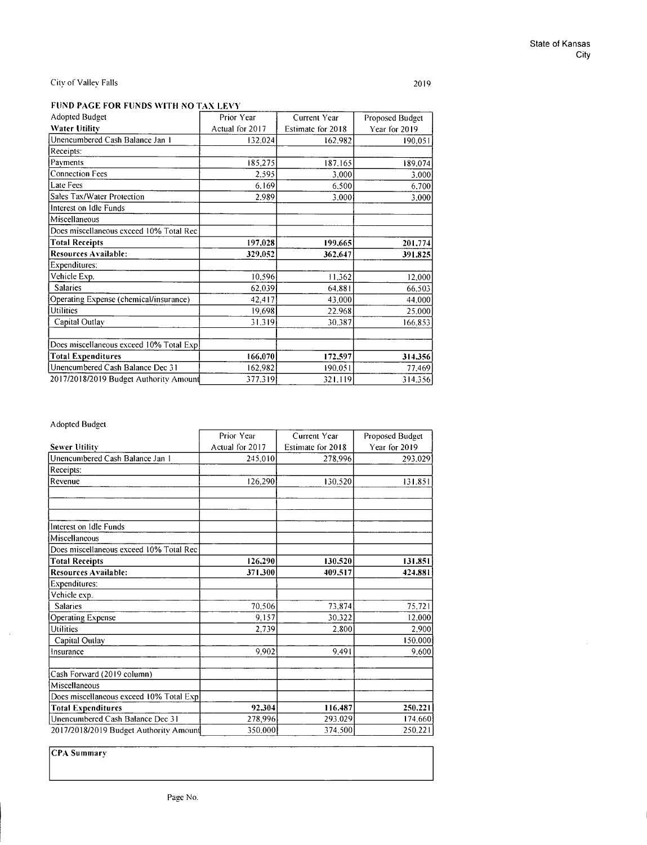$\bar{z}$ 

### City of Valley Falls

2019

### **FUND PAGE FOR FUNDS WITH NO TAX LEVY**

| <b>Adopted Budget</b>                    | Prior Year      | Current Year      | Proposed Budget |  |
|------------------------------------------|-----------------|-------------------|-----------------|--|
| <b>Water Utility</b>                     | Actual for 2017 | Estimate for 2018 | Year for 2019   |  |
| Unencumbered Cash Balance Jan 1          | 132.024         | 162.982           | 190.051         |  |
| Receipts:                                |                 |                   |                 |  |
| Payments                                 | 185.275         | 187.165           | 189.074         |  |
| <b>Connection Fees</b>                   | 2.595           | 3.000             | 3.000           |  |
| <b>Late Fees</b>                         | 6.169           | 6.500             | 6.700           |  |
| Sales Tax/Water Protection               | 2.989           | 3.000             | 3.000           |  |
| Interest on Idle Funds                   |                 |                   |                 |  |
| Miscellaneous                            |                 |                   |                 |  |
| Does miscellaneous exceed 10% Total Rec  |                 |                   |                 |  |
| <b>Total Receipts</b>                    | 197,028         | 199,665           | 201.774         |  |
| <b>Resources Available:</b>              | 329,052         | 362,647           | 391,825         |  |
| Expenditures:                            |                 |                   |                 |  |
| Vehicle Exp.                             | 10.596          | 11,362            | 12,000          |  |
| <b>Salaries</b>                          | 62,039          | 64.881            | 66,503          |  |
| Operating Expense (chemical/insurance)   | 42.417          | 43.000            | 44,000          |  |
| Utilities                                | 19.698          | 22.968            | 25.000          |  |
| Capital Outlav                           | 31.319          | 30.387            | 166,853         |  |
|                                          |                 |                   |                 |  |
| Does miscellaneous exceed 10% Total Expl |                 |                   |                 |  |
| <b>Total Expenditures</b>                | 166,070         | 172,597           | 314.356         |  |
| Unencumbered Cash Balance Dec 31         | 162,982         | 190.051           | 77,469          |  |
| 2017/2018/2019 Budget Authority Amount   | 377.319         | 321.119           | 314.356         |  |

### Adopted Budget

|                                         | Prior Year      | Current Year      | Proposed Budget<br>Year for 2019 |  |
|-----------------------------------------|-----------------|-------------------|----------------------------------|--|
| <b>Sewer Utility</b>                    | Actual for 2017 | Estimate for 2018 |                                  |  |
| Unencumbered Cash Balance Jan 1         | 245.010         | 278,996           | 293.029                          |  |
| Receipts:                               |                 |                   |                                  |  |
| Revenue                                 | 126.290         | 130.520           | 131.851                          |  |
|                                         |                 |                   |                                  |  |
| Interest on Idle Funds                  |                 |                   |                                  |  |
| Miscellaneous                           |                 |                   |                                  |  |
| Does miscellaneous exceed 10% Total Rec |                 |                   |                                  |  |
| <b>Total Receipts</b>                   | 126,290         | 130,520           | 131,851                          |  |
| Resources Available:                    | 371,300         | 409.517           | 424.881                          |  |
| Expenditures:                           |                 |                   |                                  |  |
| Vehicle exp.                            |                 |                   |                                  |  |
| <b>Salaries</b>                         | 70,506          | 73,874            | 75,721                           |  |
| Operating Expense                       | 9.157           | 30.322            | 12,000                           |  |
| Utilities                               | 2.739           | 2.800             | 2.900                            |  |
| Capital Outlay                          |                 |                   | 150,000                          |  |
| Insurance                               | 9.902           | 9.491             | 9,600                            |  |
| Cash Forward (2019 column)              |                 |                   |                                  |  |
| Miscellaneous                           |                 |                   |                                  |  |
| Does miscellaneous exceed 10% Total Exp |                 |                   |                                  |  |
| <b>Total Expenditures</b>               | 92.304          | 116,487           | 250,221                          |  |
| Unencumbered Cash Balance Dec 31        | 278,996         | 293.029           | 174,660                          |  |
| 2017/2018/2019 Budget Authority Amount  | 350,000         | 374.500           | 250,221                          |  |

**CPA Summary**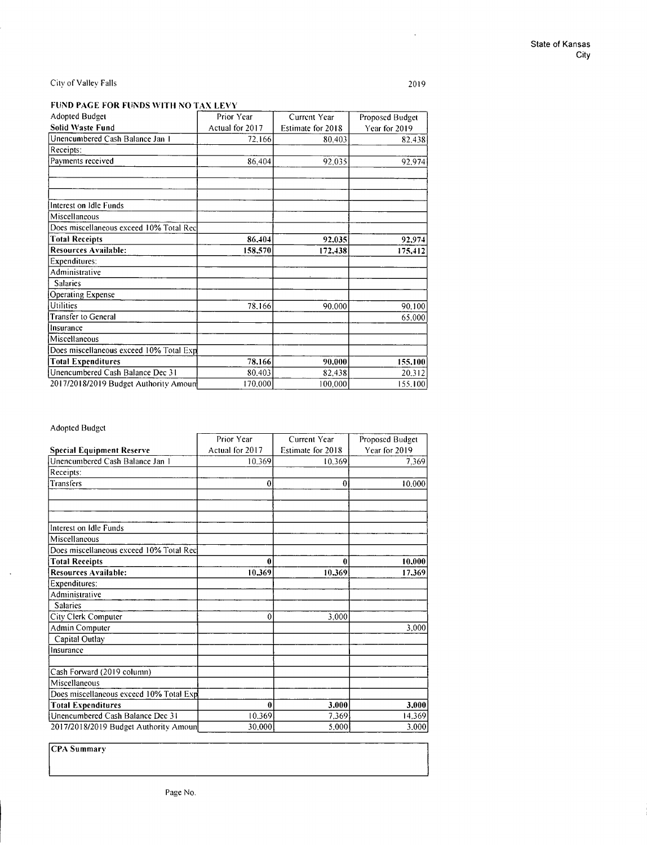2019

 $\hat{\mathcal{A}}$ 

### **FUND PAGE FOR FUNDS WITH NO TAX LEVY**

| Adopted Budget                          | Prior Year      | Current Year      | Proposed Budget |  |
|-----------------------------------------|-----------------|-------------------|-----------------|--|
| <b>Solid Waste Fund</b>                 | Actual for 2017 | Estimate for 2018 | Year for 2019   |  |
| Unencumbered Cash Balance Jan I         | 72.166          | 80,403            | 82.438          |  |
| Receipts:                               |                 |                   |                 |  |
| Payments received                       | 86,404          | 92,035            | 92.974          |  |
|                                         |                 |                   |                 |  |
| Interest on Idle Funds                  |                 |                   |                 |  |
| Miscellaneous                           |                 |                   |                 |  |
| Does miscellaneous exceed 10% Total Rec |                 |                   |                 |  |
| <b>Total Receipts</b>                   | 86.404          | 92,035            | 92,974          |  |
| <b>Resources Available:</b>             | 158,570         | 172,438           | 175,412         |  |
| Expenditures:                           |                 |                   |                 |  |
| Administrative                          |                 |                   |                 |  |
| <b>Salaries</b>                         |                 |                   |                 |  |
| <b>Operating Expense</b>                |                 |                   |                 |  |
| Utilities                               | 78.166          | 90.000            | 90,100          |  |
| <b>Transfer to General</b>              |                 |                   | 65.000          |  |
| Insurance                               |                 |                   |                 |  |
| Miscellaneous                           |                 |                   |                 |  |
| Does miscellaneous exceed 10% Total Exp |                 |                   |                 |  |
| <b>Total Expenditures</b>               | 78,166          | 90.000            | 155.100         |  |
| Unencumbered Cash Balance Dec 31        | 80.403          | 82,438            | 20,312          |  |
| 2017/2018/2019 Budget Authority Amoun   | 170,000         | 100.000           | 155,100         |  |

### Adopted Budget

 $\lambda$ 

|                                         | Prior Year<br>Current Year |                   |               |  |
|-----------------------------------------|----------------------------|-------------------|---------------|--|
| <b>Special Equipment Reserve</b>        | Actual for 2017            | Estimate for 2018 | Year for 2019 |  |
| Unencumbered Cash Balance Jan 1         | 10.369                     | 10.369            | 7.369         |  |
| Receipts:                               |                            |                   |               |  |
| Transfers                               | $\mathbf{0}$               | $\mathbf{0}$      | 10.000        |  |
|                                         |                            |                   |               |  |
|                                         |                            |                   |               |  |
| Interest on Idle Funds                  |                            |                   |               |  |
| Miscellaneous                           |                            |                   |               |  |
| Does miscellaneous exceed 10% Total Rec |                            |                   |               |  |
| <b>Total Receipts</b>                   | 0                          | 0                 | 10.000        |  |
| Resources Available:                    | 10.369                     | 10.369            | 17.369        |  |
| Expenditures:                           |                            |                   |               |  |
| Administrative                          |                            |                   |               |  |
| <b>Salaries</b>                         |                            |                   |               |  |
| City Clerk Computer                     | 0                          | 3,000             |               |  |
| Admin Computer                          |                            |                   | 3.000         |  |
| Capital Outlay                          |                            |                   |               |  |
| Insurance                               |                            |                   |               |  |
| Cash Forward (2019 column)              |                            |                   |               |  |
| Miscellaneous                           |                            |                   |               |  |
| Does miscellaneous exceed 10% Total Exp |                            |                   |               |  |
| <b>Total Expenditures</b>               | 0                          | 3.000             | 3.000         |  |
| Unencumbered Cash Balance Dec 31        | 10.369                     | 7.369             | 14.369        |  |
| 2017/2018/2019 Budget Authority Amoun   | 30,000                     | 5.000             | 3.000         |  |

**CPA** Summary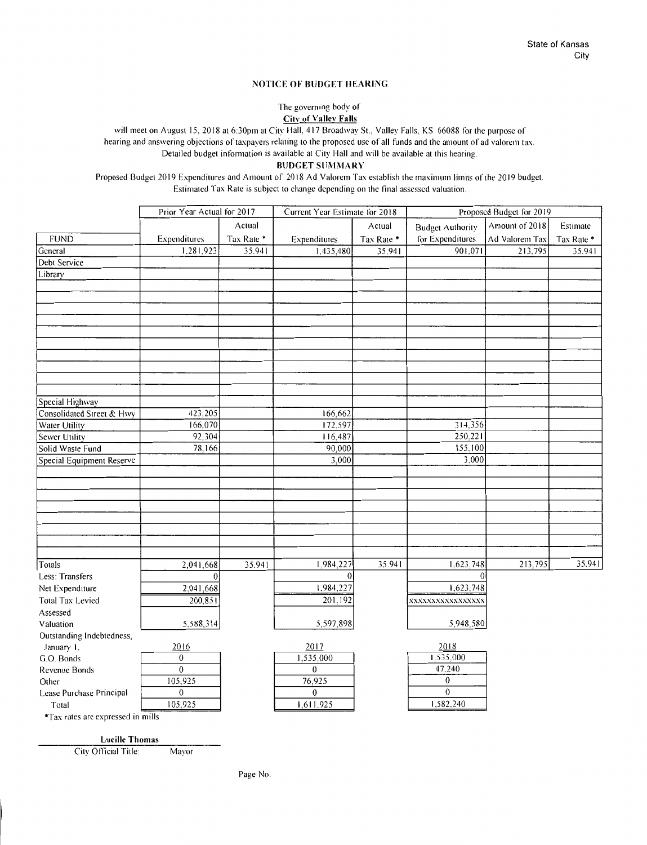#### **NOTICE OF BUDGET HEARING**

The governing body of

**City of Vallev Falls** 

will meet on August 15. 2018 at 6:30pm at City Hall, 417 Broadway St.. Valley Falls, KS 66088 for the purpose of hearing and answering objections of taxpayers relating to the proposed use of all funds and the amount of ad valorem tax. Detailed budget information is available at City Hall and will be available at this hearing.

**BUDGET SUMMARY** 

Proposed Budget 2019 Expenditures and Amount of 2018 Ad Valorem Tax establish the maximum limits of the 2019 budget. Estimated Tax Rate is subject to change depending on the final assessed valuation.

|                                   | Prior Year Actual for 2017 |            | Current Year Estimate for 2018 |            |                         | Proposed Budget for 2019 |            |
|-----------------------------------|----------------------------|------------|--------------------------------|------------|-------------------------|--------------------------|------------|
|                                   |                            | Actual     |                                | Actual     | <b>Budget Authority</b> | Amount of 2018           | Estimate   |
| <b>FUND</b>                       | Expenditures               | Tax Rate * | Expenditures                   | Tax Rate * | for Expenditures        | Ad Valorem Tax           | Tax Rate * |
| General                           | 1.281,923                  | 35.941     | 1,435,480                      | 35.941     | 901,071                 | 213,795                  | 35.941     |
| Debt Service                      |                            |            |                                |            |                         |                          |            |
| Library                           |                            |            |                                |            |                         |                          |            |
|                                   |                            |            |                                |            |                         |                          |            |
|                                   |                            |            |                                |            |                         |                          |            |
|                                   |                            |            |                                |            |                         |                          |            |
|                                   |                            |            |                                |            |                         |                          |            |
|                                   |                            |            |                                |            |                         |                          |            |
|                                   |                            |            |                                |            |                         |                          |            |
|                                   |                            |            |                                |            |                         |                          |            |
|                                   |                            |            |                                |            |                         |                          |            |
|                                   |                            |            |                                |            |                         |                          |            |
|                                   |                            |            |                                |            |                         |                          |            |
| Special Highway                   |                            |            |                                |            |                         |                          |            |
| Consolidated Street & Hwy         | 423,205                    |            | 166,662                        |            |                         |                          |            |
| Water Utility                     | 166,070                    |            | 172,597                        |            | 314,356                 |                          |            |
| Sewer Utility                     | 92.304                     |            | 116,487                        |            | 250,221                 |                          |            |
| Solid Waste Fund                  | 78,166                     |            | 90,000                         |            | 155,100                 |                          |            |
| Special Equipment Reserve         |                            |            | 3,000                          |            | 3,000                   |                          |            |
|                                   |                            |            |                                |            |                         |                          |            |
|                                   |                            |            |                                |            |                         |                          |            |
|                                   |                            |            |                                |            |                         |                          |            |
|                                   |                            |            |                                |            |                         |                          |            |
|                                   |                            |            |                                |            |                         |                          |            |
|                                   |                            |            |                                |            |                         |                          |            |
|                                   |                            |            |                                |            |                         |                          |            |
| Totals                            | 2,041,668                  | 35.941     | 1,984,227                      | 35.941     | 1,623,748               | 213,795                  | 35.941     |
| Less: Transfers                   | $\overline{0}$             |            | $\bf{0}$                       |            |                         |                          |            |
| Net Expenditure                   | 2,041,668                  |            | 1,984,227                      |            | 1,623,748               |                          |            |
| <b>Total Tax Levied</b>           | 200,851                    |            | 201,192                        |            | XXXXXXXXXXXXXXXXX       |                          |            |
| Assessed                          |                            |            |                                |            |                         |                          |            |
| Valuation                         | 5,588,314                  |            | 5,597,898                      |            | 5,948,580               |                          |            |
| Outstanding Indebtedness,         |                            |            |                                |            |                         |                          |            |
| January 1,                        | 2016                       |            | 2017                           |            | 2018                    |                          |            |
| G.O. Bonds                        | $\boldsymbol{0}$           |            | 1,535,000                      |            | 1,535,000               |                          |            |
| Revenue Bonds                     | $\overline{0}$             |            | $\Omega$                       |            | 47,240                  |                          |            |
| Other                             | 105,925                    |            | 76,925                         |            | $\boldsymbol{0}$        |                          |            |
| Lease Purchase Principal          | $\boldsymbol{0}$           |            | $\boldsymbol{0}$               |            | $\boldsymbol{0}$        |                          |            |
| Total                             | 105,925                    |            | 1,611,925                      |            | 1,582,240               |                          |            |
| *Tax rates are expressed in mills |                            |            |                                |            |                         |                          |            |
|                                   |                            |            |                                |            |                         |                          |            |

**Lucille Thomas** 

City Official Title: Mayor